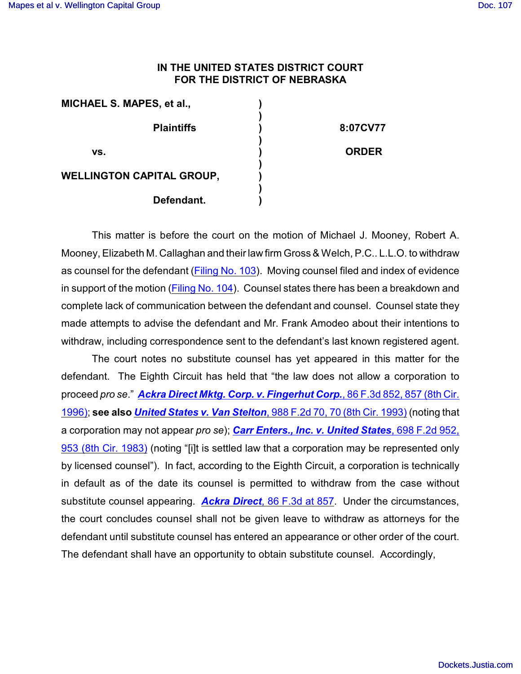## **IN THE UNITED STATES DISTRICT COURT FOR THE DISTRICT OF NEBRASKA**

| MICHAEL S. MAPES, et al.,        |              |
|----------------------------------|--------------|
| <b>Plaintiffs</b>                | 8:07CV77     |
| VS.                              | <b>ORDER</b> |
| <b>WELLINGTON CAPITAL GROUP,</b> |              |
| Defendant.                       |              |

This matter is before the court on the motion of Michael J. Mooney, Robert A. Mooney, Elizabeth M. Callaghan and their law firm Gross & Welch, P.C.. L.L.O. to withdraw as counsel for the defendant [\(Filing No. 103](https://ecf.ned.uscourts.gov/doc1/11301551157)). Moving counsel filed and index of evidence in support of the motion [\(Filing No. 104](https://ecf.ned.uscourts.gov/doc1/11301551164)). Counsel states there has been a breakdown and complete lack of communication between the defendant and counsel. Counsel state they made attempts to advise the defendant and Mr. Frank Amodeo about their intentions to withdraw, including correspondence sent to the defendant's last known registered agent.

The court notes no substitute counsel has yet appeared in this matter for the defendant. The Eighth Circuit has held that "the law does not allow a corporation to proceed *pro se*." *[Ackra Direct Mktg. Corp. v. Fingerhut Corp.](http://www.westlaw.com/find/default.wl?rs=CLWP3.0&vr=2.0&cite=86+F.3d+852)*, 86 F.3d 852, 857 (8th Cir. [1996\)](http://www.westlaw.com/find/default.wl?rs=CLWP3.0&vr=2.0&cite=86+F.3d+852); **see also** *United States v. Van Stelton*[, 988 F.2d 70, 70 \(8th Cir. 1993\)](http://www.westlaw.com/find/default.wl?rs=CLWP3.0&vr=2.0&cite=988+F.2d+70) (noting that a corporation may not appear *pro se*); *[Carr Enters., Inc. v. United States](http://www.westlaw.com/find/default.wl?rs=CLWP3.0&vr=2.0&cite=698+F.2d+952)*, 698 F.2d 952, [953 \(8th Cir. 1983\)](http://www.westlaw.com/find/default.wl?rs=CLWP3.0&vr=2.0&cite=698+F.2d+952) (noting "[i]t is settled law that a corporation may be represented only by licensed counsel"). In fact, according to the Eighth Circuit, a corporation is technically in default as of the date its counsel is permitted to withdraw from the case without substitute counsel appearing. *Ackra Direct*[, 86 F.3d at 857](http://www.westlaw.com/find/default.wl?rs=CLWP3.0&vr=2.0&cite=86+F.3d+857). Under the circumstances, the court concludes counsel shall not be given leave to withdraw as attorneys for the defendant until substitute counsel has entered an appearance or other order of the court. The defendant shall have an opportunity to obtain substitute counsel. Accordingly,